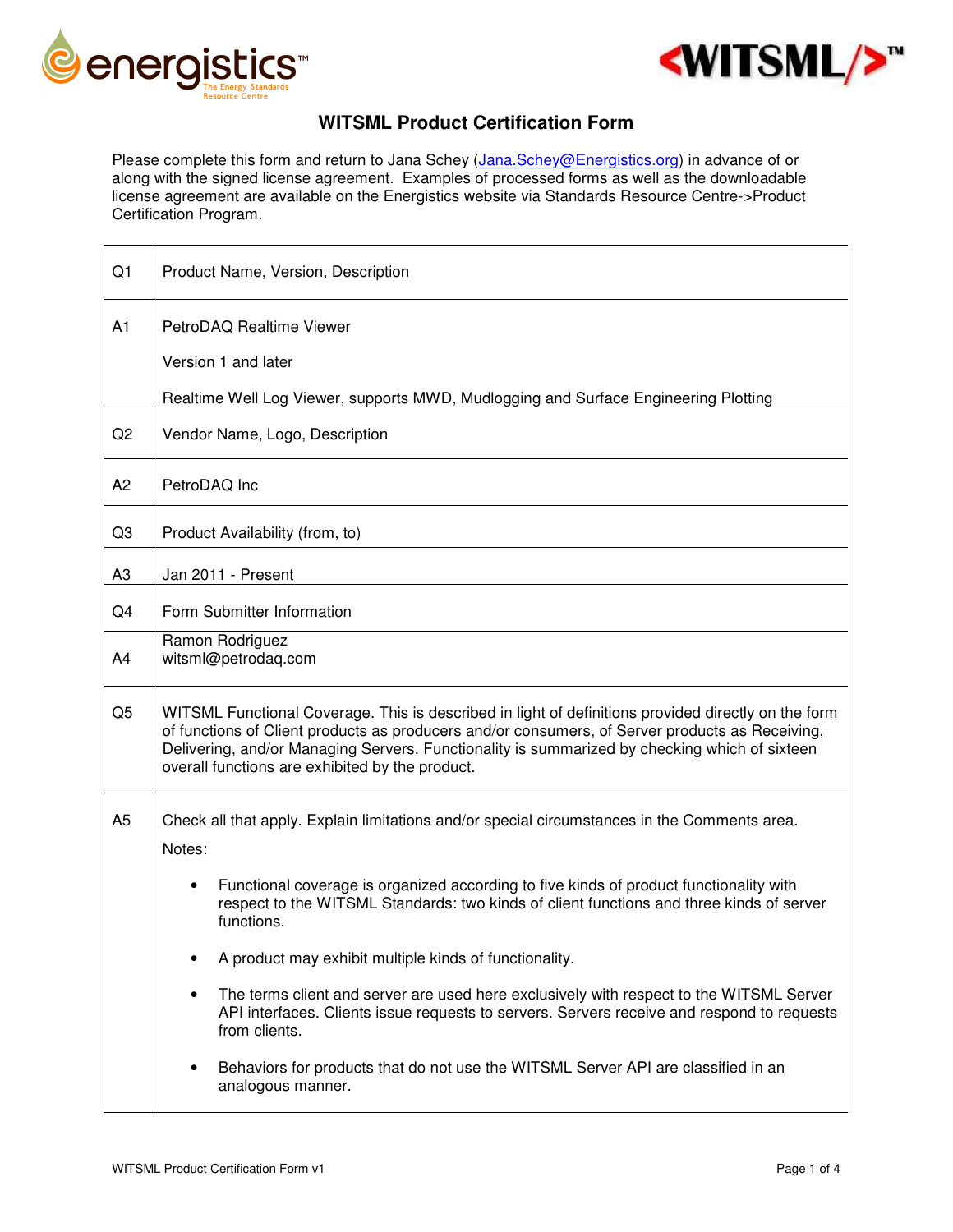

 $\Gamma$ 



## **WITSML Product Certification Form**

Please complete this form and return to Jana Schey (Jana.Schey@Energistics.org) in advance of or along with the signed license agreement. Examples of processed forms as well as the downloadable license agreement are available on the Energistics website via Standards Resource Centre->Product Certification Program.

| Q1             | Product Name, Version, Description                                                                                                                                                                                                                                                                                                                                                                                                                                                                                                                                                                                                                                                                         |
|----------------|------------------------------------------------------------------------------------------------------------------------------------------------------------------------------------------------------------------------------------------------------------------------------------------------------------------------------------------------------------------------------------------------------------------------------------------------------------------------------------------------------------------------------------------------------------------------------------------------------------------------------------------------------------------------------------------------------------|
| A1             | PetroDAQ Realtime Viewer<br>Version 1 and later<br>Realtime Well Log Viewer, supports MWD, Mudlogging and Surface Engineering Plotting                                                                                                                                                                                                                                                                                                                                                                                                                                                                                                                                                                     |
| Q2             | Vendor Name, Logo, Description                                                                                                                                                                                                                                                                                                                                                                                                                                                                                                                                                                                                                                                                             |
| A <sub>2</sub> | PetroDAQ Inc                                                                                                                                                                                                                                                                                                                                                                                                                                                                                                                                                                                                                                                                                               |
| Q <sub>3</sub> | Product Availability (from, to)                                                                                                                                                                                                                                                                                                                                                                                                                                                                                                                                                                                                                                                                            |
| A <sub>3</sub> | Jan 2011 - Present                                                                                                                                                                                                                                                                                                                                                                                                                                                                                                                                                                                                                                                                                         |
| Q4             | Form Submitter Information                                                                                                                                                                                                                                                                                                                                                                                                                                                                                                                                                                                                                                                                                 |
| A4             | Ramon Rodriguez<br>witsml@petrodaq.com                                                                                                                                                                                                                                                                                                                                                                                                                                                                                                                                                                                                                                                                     |
| Q <sub>5</sub> | WITSML Functional Coverage. This is described in light of definitions provided directly on the form<br>of functions of Client products as producers and/or consumers, of Server products as Receiving,<br>Delivering, and/or Managing Servers. Functionality is summarized by checking which of sixteen<br>overall functions are exhibited by the product.                                                                                                                                                                                                                                                                                                                                                 |
| A <sub>5</sub> | Check all that apply. Explain limitations and/or special circumstances in the Comments area.<br>Notes:<br>Functional coverage is organized according to five kinds of product functionality with<br>respect to the WITSML Standards: two kinds of client functions and three kinds of server<br>functions.<br>A product may exhibit multiple kinds of functionality.<br>The terms client and server are used here exclusively with respect to the WITSML Server<br>$\bullet$<br>API interfaces. Clients issue requests to servers. Servers receive and respond to requests<br>from clients.<br>Behaviors for products that do not use the WITSML Server API are classified in an<br>٠<br>analogous manner. |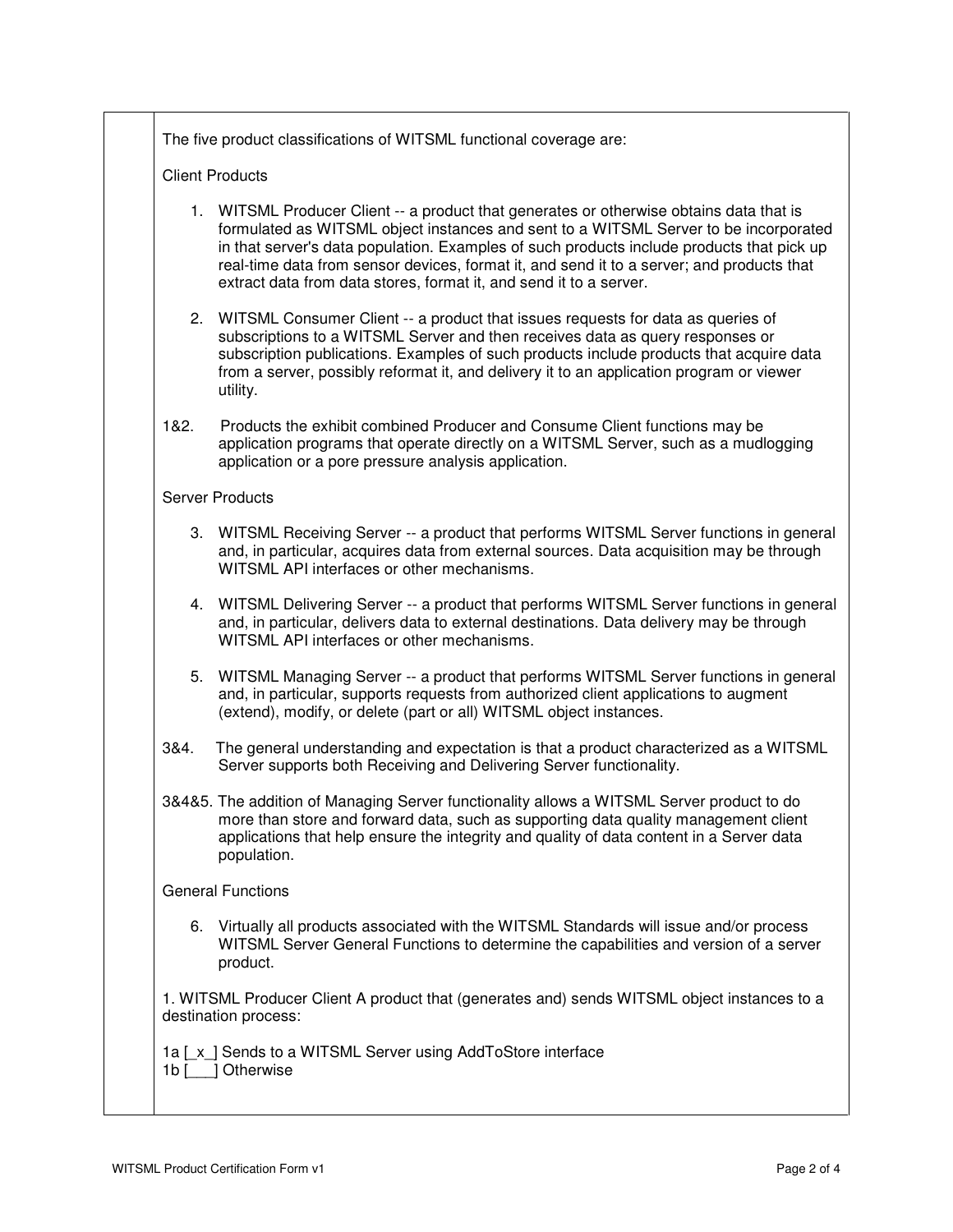The five product classifications of WITSML functional coverage are:

## Client Products

- 1. WITSML Producer Client -- a product that generates or otherwise obtains data that is formulated as WITSML object instances and sent to a WITSML Server to be incorporated in that server's data population. Examples of such products include products that pick up real-time data from sensor devices, format it, and send it to a server; and products that extract data from data stores, format it, and send it to a server.
- 2. WITSML Consumer Client -- a product that issues requests for data as queries of subscriptions to a WITSML Server and then receives data as query responses or subscription publications. Examples of such products include products that acquire data from a server, possibly reformat it, and delivery it to an application program or viewer utility.
- 1&2. Products the exhibit combined Producer and Consume Client functions may be application programs that operate directly on a WITSML Server, such as a mudlogging application or a pore pressure analysis application.

## Server Products

- 3. WITSML Receiving Server -- a product that performs WITSML Server functions in general and, in particular, acquires data from external sources. Data acquisition may be through WITSML API interfaces or other mechanisms.
- 4. WITSML Delivering Server -- a product that performs WITSML Server functions in general and, in particular, delivers data to external destinations. Data delivery may be through WITSML API interfaces or other mechanisms.
- 5. WITSML Managing Server -- a product that performs WITSML Server functions in general and, in particular, supports requests from authorized client applications to augment (extend), modify, or delete (part or all) WITSML object instances.
- 3&4. The general understanding and expectation is that a product characterized as a WITSML Server supports both Receiving and Delivering Server functionality.
- 3&4&5. The addition of Managing Server functionality allows a WITSML Server product to do more than store and forward data, such as supporting data quality management client applications that help ensure the integrity and quality of data content in a Server data population.

## General Functions

6. Virtually all products associated with the WITSML Standards will issue and/or process WITSML Server General Functions to determine the capabilities and version of a server product.

1. WITSML Producer Client A product that (generates and) sends WITSML object instances to a destination process:

1a [\_x\_] Sends to a WITSML Server using AddToStore interface 1b [ ] Otherwise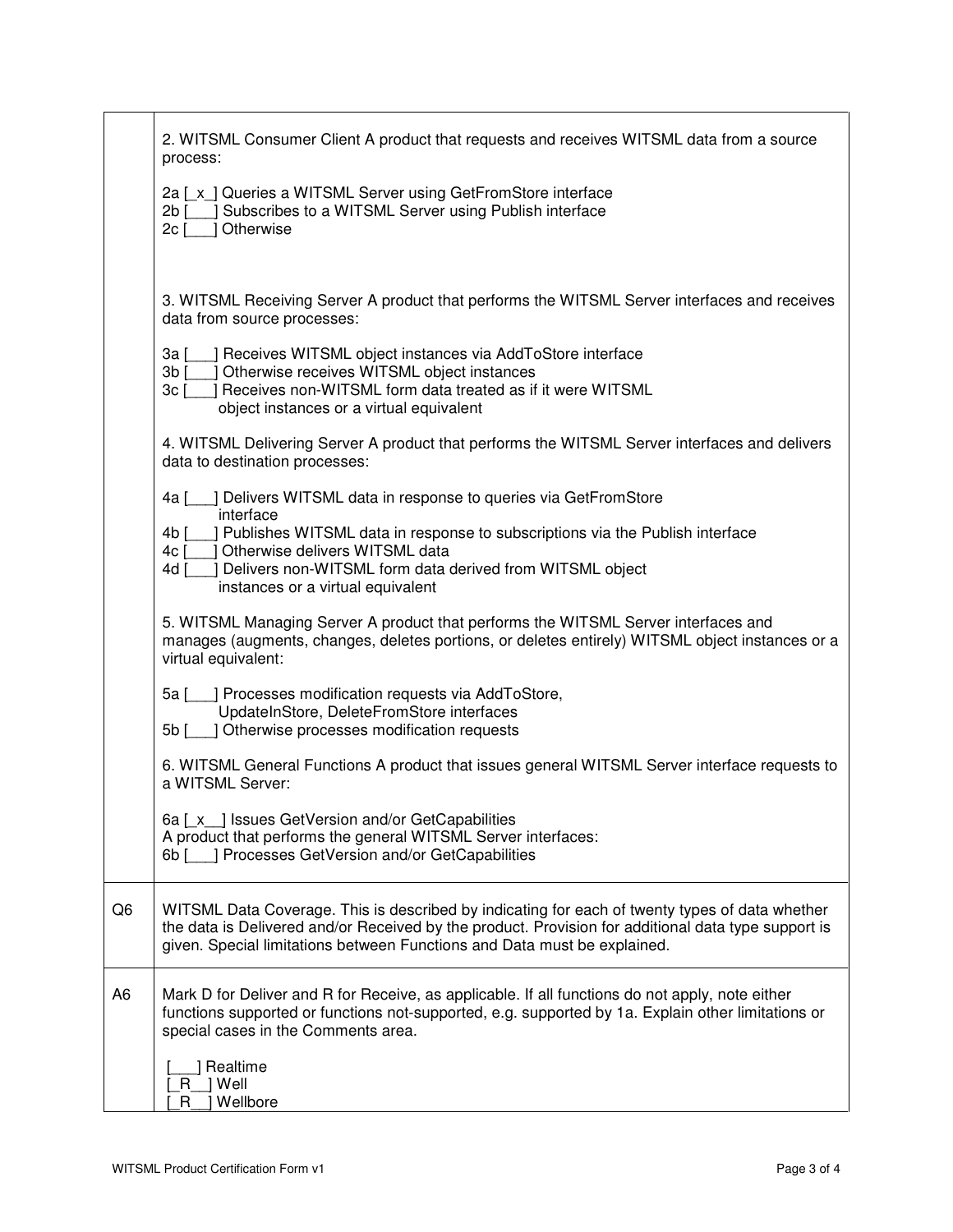|                | 2. WITSML Consumer Client A product that requests and receives WITSML data from a source<br>process:                                                                                                                                                                                                                               |
|----------------|------------------------------------------------------------------------------------------------------------------------------------------------------------------------------------------------------------------------------------------------------------------------------------------------------------------------------------|
|                | 2a [x ] Queries a WITSML Server using GetFromStore interface<br>Subscribes to a WITSML Server using Publish interface<br>2b [<br>Otherwise<br>$2c$ [                                                                                                                                                                               |
|                | 3. WITSML Receiving Server A product that performs the WITSML Server interfaces and receives<br>data from source processes:                                                                                                                                                                                                        |
|                | ] Receives WITSML object instances via AddToStore interface<br>3a ſ<br>$3b$ $\overline{\phantom{a}}$<br>Otherwise receives WITSML object instances<br>Receives non-WITSML form data treated as if it were WITSML<br>3c [<br>object instances or a virtual equivalent                                                               |
|                | 4. WITSML Delivering Server A product that performs the WITSML Server interfaces and delivers<br>data to destination processes:                                                                                                                                                                                                    |
|                | ] Delivers WITSML data in response to queries via GetFromStore<br>4a [<br>interface<br>] Publishes WITSML data in response to subscriptions via the Publish interface<br>4b [<br>] Otherwise delivers WITSML data<br>4c [<br>Delivers non-WITSML form data derived from WITSML object<br>4d [<br>instances or a virtual equivalent |
|                | 5. WITSML Managing Server A product that performs the WITSML Server interfaces and<br>manages (augments, changes, deletes portions, or deletes entirely) WITSML object instances or a<br>virtual equivalent:                                                                                                                       |
|                | ] Processes modification requests via AddToStore,<br>5a [<br>UpdateInStore, DeleteFromStore interfaces<br>] Otherwise processes modification requests<br>5b [                                                                                                                                                                      |
|                | 6. WITSML General Functions A product that issues general WITSML Server interface requests to<br>a WITSML Server:                                                                                                                                                                                                                  |
|                | 6a [ x ] Issues GetVersion and/or GetCapabilities<br>A product that performs the general WITSML Server interfaces:<br>6b [ ] Processes GetVersion and/or GetCapabilities                                                                                                                                                           |
| Q <sub>6</sub> | WITSML Data Coverage. This is described by indicating for each of twenty types of data whether<br>the data is Delivered and/or Received by the product. Provision for additional data type support is<br>given. Special limitations between Functions and Data must be explained.                                                  |
| A <sub>6</sub> | Mark D for Deliver and R for Receive, as applicable. If all functions do not apply, note either<br>functions supported or functions not-supported, e.g. supported by 1a. Explain other limitations or<br>special cases in the Comments area.                                                                                       |
|                | Realtime<br>R   Well<br>Wellbore<br>R.                                                                                                                                                                                                                                                                                             |